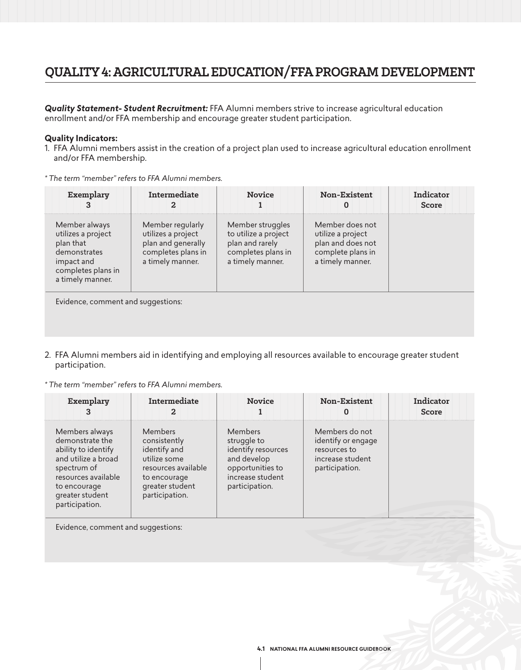## **QUALITY 4: AGRICULTURAL EDUCATION/FFA PROGRAM DEVELOPMENT**

*Quality Statement- Student Recruitment:* FFA Alumni members strive to increase agricultural education enrollment and/or FFA membership and encourage greater student participation.

#### **Quality Indicators:**

1. FFA Alumni members assist in the creation of a project plan used to increase agricultural education enrollment and/or FFA membership.

| * The term "member" refers to FFA Alumni members. |  |  |
|---------------------------------------------------|--|--|
|---------------------------------------------------|--|--|

| Exemplary<br>3                                                                                                           | Intermediate                                                                                           | <b>Novice</b>                                                                                         | Non-Existent<br>0                                                                                  | Indicator<br>Score |
|--------------------------------------------------------------------------------------------------------------------------|--------------------------------------------------------------------------------------------------------|-------------------------------------------------------------------------------------------------------|----------------------------------------------------------------------------------------------------|--------------------|
| Member always<br>utilizes a project<br>plan that<br>demonstrates<br>impact and<br>completes plans in<br>a timely manner. | Member regularly<br>utilizes a project<br>plan and generally<br>completes plans in<br>a timely manner. | Member struggles<br>to utilize a project<br>plan and rarely<br>completes plans in<br>a timely manner. | Member does not<br>utilize a project<br>plan and does not<br>complete plans in<br>a timely manner. |                    |
| Evidence, comment and suggestions:                                                                                       |                                                                                                        |                                                                                                       |                                                                                                    |                    |

2. FFA Alumni members aid in identifying and employing all resources available to encourage greater student participation.

*\* The term "member" refers to FFA Alumni members.*

| Exemplary                                                                                                                                                                  | Intermediate<br>2                                                                                                                   | <b>Novice</b>                                                                                                                | <b>Non-Existent</b><br>O                                                                   | Indicator<br>Score |
|----------------------------------------------------------------------------------------------------------------------------------------------------------------------------|-------------------------------------------------------------------------------------------------------------------------------------|------------------------------------------------------------------------------------------------------------------------------|--------------------------------------------------------------------------------------------|--------------------|
| Members always<br>demonstrate the<br>ability to identify<br>and utilize a broad<br>spectrum of<br>resources available<br>to encourage<br>greater student<br>participation. | Members<br>consistently<br>identify and<br>utilize some<br>resources available<br>to encourage<br>greater student<br>participation. | <b>Members</b><br>struggle to<br>identify resources<br>and develop<br>opportunities to<br>increase student<br>participation. | Members do not<br>identify or engage<br>resources to<br>increase student<br>participation. |                    |

Evidence, comment and suggestions: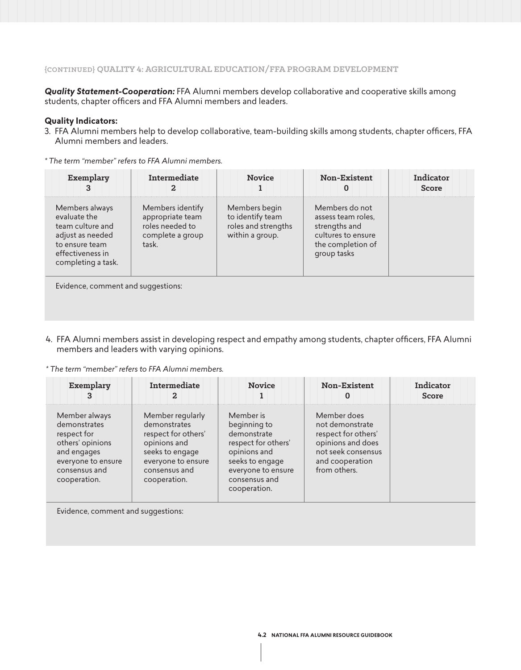*Quality Statement-Cooperation:* FFA Alumni members develop collaborative and cooperative skills among students, chapter officers and FFA Alumni members and leaders.

#### **Quality Indicators:**

3. FFA Alumni members help to develop collaborative, team-building skills among students, chapter officers, FFA Alumni members and leaders.

| Exemplary<br>3                                                                                                                     | Intermediate<br>2                                                                    | <b>Novice</b>                                                               | Non-Existent<br>0                                                                                               | Indicator<br>Score |
|------------------------------------------------------------------------------------------------------------------------------------|--------------------------------------------------------------------------------------|-----------------------------------------------------------------------------|-----------------------------------------------------------------------------------------------------------------|--------------------|
| Members always<br>evaluate the<br>team culture and<br>adjust as needed<br>to ensure team<br>effectiveness in<br>completing a task. | Members identify<br>appropriate team<br>roles needed to<br>complete a group<br>task. | Members begin<br>to identify team<br>roles and strengths<br>within a group. | Members do not<br>assess team roles.<br>strengths and<br>cultures to ensure<br>the completion of<br>group tasks |                    |
| Evidence comment and suggestions.                                                                                                  |                                                                                      |                                                                             |                                                                                                                 |                    |

*\* The term "member" refers to FFA Alumni members.* 

uggestions

4. FFA Alumni members assist in developing respect and empathy among students, chapter officers, FFA Alumni members and leaders with varying opinions.

*\* The term "member" refers to FFA Alumni members.*

| Exemplary                                                                                                                              | Intermediate                                                                                                                                      | <b>Novice</b>                                                                                                                                             | Non-Existent<br>O                                                                                                                   | Indicator<br>Score |
|----------------------------------------------------------------------------------------------------------------------------------------|---------------------------------------------------------------------------------------------------------------------------------------------------|-----------------------------------------------------------------------------------------------------------------------------------------------------------|-------------------------------------------------------------------------------------------------------------------------------------|--------------------|
| Member always<br>demonstrates<br>respect for<br>others' opinions<br>and engages<br>everyone to ensure<br>consensus and<br>cooperation. | Member regularly<br>demonstrates<br>respect for others'<br>opinions and<br>seeks to engage<br>everyone to ensure<br>consensus and<br>cooperation. | Member is<br>beginning to<br>demonstrate<br>respect for others'<br>opinions and<br>seeks to engage<br>everyone to ensure<br>consensus and<br>cooperation. | Member does<br>not demonstrate<br>respect for others'<br>opinions and does<br>not seek consensus<br>and cooperation<br>from others. |                    |

Evidence, comment and suggestions: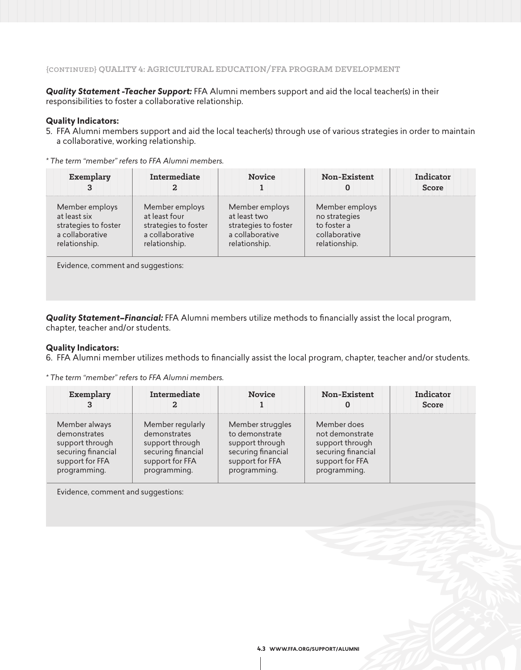*Quality Statement -Teacher Support:* FFA Alumni members support and aid the local teacher(s) in their responsibilities to foster a collaborative relationship.

#### **Quality Indicators:**

5. FFA Alumni members support and aid the local teacher(s) through use of various strategies in order to maintain a collaborative, working relationship.

| Exemplary            | Intermediate         | <b>Novice</b>        | <b>Non-Existent</b> | Indicator<br>Score |
|----------------------|----------------------|----------------------|---------------------|--------------------|
| Member employs       | Member employs       | Member employs       | Member employs      |                    |
| at least six         | at least four        | at least two         | no strategies       |                    |
| strategies to foster | strategies to foster | strategies to foster | to foster a         |                    |
| a collaborative      | a collaborative      | a collaborative      | collaborative       |                    |
| relationship.        | relationship.        | relationship.        | relationship.       |                    |

*\* The term "member" refers to FFA Alumni members.*

Evidence, comment and suggestions:

*Quality Statement–Financial:* FFA Alumni members utilize methods to financially assist the local program, chapter, teacher and/or students.

#### **Quality Indicators:**

6. FFA Alumni member utilizes methods to financially assist the local program, chapter, teacher and/or students.

*\* The term "member" refers to FFA Alumni members.*

| Exemplary          | Intermediate       | <b>Novice</b>      | <b>Non-Existent</b> | Indicator<br>Score |
|--------------------|--------------------|--------------------|---------------------|--------------------|
| Member always      | Member regularly   | Member struggles   | Member does         |                    |
| demonstrates       | demonstrates       | to demonstrate     | not demonstrate     |                    |
| support through    | support through    | support through    | support through     |                    |
| securing financial | securing financial | securing financial | securing financial  |                    |
| support for FFA    | support for FFA    | support for FFA    | support for FFA     |                    |
| programming.       | programming.       | programming.       | programming.        |                    |

Evidence, comment and suggestions: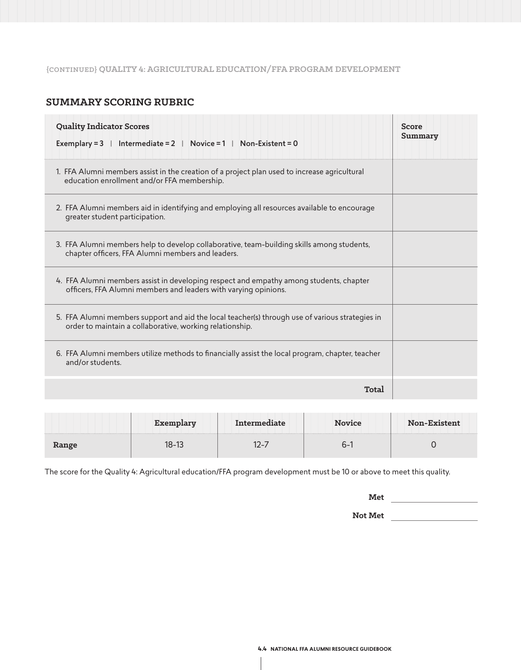## **{CONTINUED} QUALITY 4: AGRICULTURAL EDUCATION/FFA PROGRAM DEVELOPMENT**

### **SUMMARY SCORING RUBRIC**

| <b>Quality Indicator Scores</b><br>Exemplary = $3 \mid$ Intermediate = $2 \mid$ Novice = $1 \mid$ Non-Existent = 0                                          | Score<br>Summary |
|-------------------------------------------------------------------------------------------------------------------------------------------------------------|------------------|
| 1. FFA Alumni members assist in the creation of a project plan used to increase agricultural<br>education enrollment and/or FFA membership.                 |                  |
| 2. FFA Alumni members aid in identifying and employing all resources available to encourage<br>greater student participation.                               |                  |
| 3. FFA Alumni members help to develop collaborative, team-building skills among students,<br>chapter officers, FFA Alumni members and leaders.              |                  |
| 4. FFA Alumni members assist in developing respect and empathy among students, chapter<br>officers, FFA Alumni members and leaders with varying opinions.   |                  |
| 5. FFA Alumni members support and aid the local teacher(s) through use of various strategies in<br>order to maintain a collaborative, working relationship. |                  |
| 6. FFA Alumni members utilize methods to financially assist the local program, chapter, teacher<br>and/or students.                                         |                  |
| Total                                                                                                                                                       |                  |

|       |             | <b>Novice</b> | <b>Non-Exist</b><br>tent |
|-------|-------------|---------------|--------------------------|
| Range | <u>n-i:</u> | ∩–            |                          |

The score for the Quality 4: Agricultural education/FFA program development must be 10 or above to meet this quality.

**Met**

**Not Met**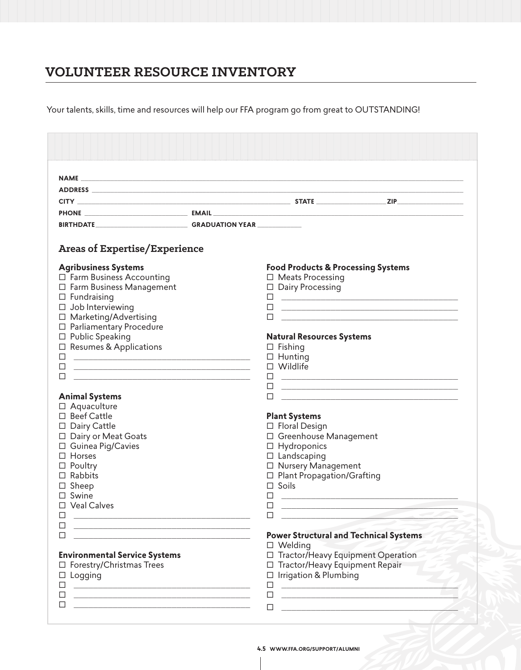# **VOLUNTEER RESOURCE INVENTORY**

Your talents, skills, time and resources will help our FFA program go from great to OUTSTANDING!

| <b>Areas of Expertise/Experience</b>                                                                                         |                                                                                                                                 |
|------------------------------------------------------------------------------------------------------------------------------|---------------------------------------------------------------------------------------------------------------------------------|
| <b>Agribusiness Systems</b>                                                                                                  | <b>Food Products &amp; Processing Systems</b>                                                                                   |
| $\Box$ Farm Business Accounting                                                                                              | $\Box$ Meats Processing                                                                                                         |
| □ Farm Business Management                                                                                                   | $\Box$ Dairy Processing                                                                                                         |
| $\Box$ Fundraising                                                                                                           |                                                                                                                                 |
| $\Box$ Job Interviewing                                                                                                      | □<br><u> 1989 - Johann John Stein, mars an deus Amerikaansk kommunister (</u>                                                   |
| □ Marketing/Advertising                                                                                                      | <u> 1980 - Jan James James Barnett, amerikan personal (h. 1980).</u>                                                            |
| □ Parliamentary Procedure                                                                                                    |                                                                                                                                 |
| $\square$ Public Speaking                                                                                                    | <b>Natural Resources Systems</b>                                                                                                |
| □ Resumes & Applications                                                                                                     | $\Box$ Fishing                                                                                                                  |
| □<br><u> The Communication of the Communication of the Communication of the Communication of the Communication of the Co</u> | $\Box$ Hunting<br>$\Box$ Wildlife                                                                                               |
|                                                                                                                              |                                                                                                                                 |
|                                                                                                                              | $\Box$<br><u> 1989 - Jan Barbara de Santo de Santo de Santo de Santo de Santo de Santo de Santo de Santo de Santo de Santo </u> |
| <b>Animal Systems</b>                                                                                                        | □<br><u> 1989 - Johann John Stone, markin film yn y brening yn y brening yn y brening yn y brening yn y brening y bre</u><br>□  |
| □ Aquaculture                                                                                                                | <u> 2000 - Jan James James Jan James James James James James James James James James James James James James Jam</u>            |
| □ Beef Cattle                                                                                                                | <b>Plant Systems</b>                                                                                                            |
| □ Dairy Cattle                                                                                                               | $\Box$ Floral Design                                                                                                            |
| □ Dairy or Meat Goats                                                                                                        | □ Greenhouse Management                                                                                                         |
| □ Guinea Pig/Cavies                                                                                                          | $\Box$ Hydroponics                                                                                                              |
| $\Box$ Horses                                                                                                                | $\Box$ Landscaping                                                                                                              |
| $\Box$ Poultry                                                                                                               | □ Nursery Management                                                                                                            |
| $\Box$ Rabbits                                                                                                               | □ Plant Propagation/Grafting                                                                                                    |
| $\Box$ Sheep                                                                                                                 | $\Box$ Soils                                                                                                                    |
| $\Box$ Swine                                                                                                                 | □                                                                                                                               |
| <b>Veal Calves</b>                                                                                                           | ∟                                                                                                                               |
| <u> 2000 - 2000 - 2000 - 2000 - 2000 - 2000 - 2000 - 2000 - 2000 - 2000 - 2000 - 2000 - 2000 - 2000 - 2000 - 200</u>         |                                                                                                                                 |
|                                                                                                                              | <b>Power Structural and Technical Systems</b>                                                                                   |
|                                                                                                                              | $\square$ Welding                                                                                                               |
| <b>Environmental Service Systems</b>                                                                                         | □ Tractor/Heavy Equipment Operation                                                                                             |
| □ Forestry/Christmas Trees                                                                                                   | □ Tractor/Heavy Equipment Repair                                                                                                |
| Logging                                                                                                                      | $\Box$ Irrigation & Plumbing                                                                                                    |
| <u> 1980 - Johann Stoff, fransk politik (d. 1980)</u>                                                                        | □                                                                                                                               |
|                                                                                                                              |                                                                                                                                 |
| <u> 1990 - Johann John Harry Harry Harry Harry Harry Harry Harry Harry Harry Harry Harry Harry Harry Harry Harry</u>         | □                                                                                                                               |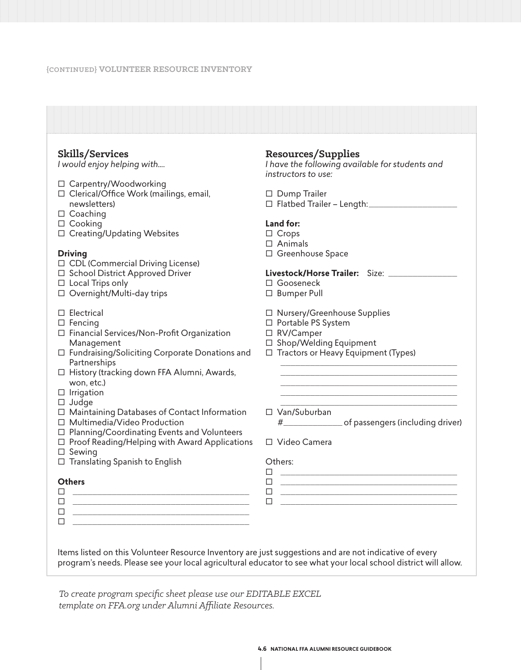#### **{CONTINUED} VOLUNTEER RESOURCE INVENTORY**

| Skills/Services                                                                                                            | Resources/Supplies                                                                                                        |
|----------------------------------------------------------------------------------------------------------------------------|---------------------------------------------------------------------------------------------------------------------------|
| I would enjoy helping with                                                                                                 | I have the following available for students and<br>instructors to use:                                                    |
| □ Carpentry/Woodworking                                                                                                    |                                                                                                                           |
| □ Clerical/Office Work (mailings, email,                                                                                   | $\Box$ Dump Trailer                                                                                                       |
| newsletters)                                                                                                               | □ Flatbed Trailer - Length:                                                                                               |
| $\Box$ Coaching                                                                                                            |                                                                                                                           |
| $\Box$ Cooking                                                                                                             | Land for:                                                                                                                 |
| □ Creating/Updating Websites                                                                                               | $\Box$ Crops<br>$\Box$ Animals                                                                                            |
| <b>Driving</b>                                                                                                             | □ Greenhouse Space                                                                                                        |
| □ CDL (Commercial Driving License)                                                                                         |                                                                                                                           |
| □ School District Approved Driver                                                                                          | Livestock/Horse Trailer: Size: _________                                                                                  |
| $\Box$ Local Trips only                                                                                                    | □ Gooseneck                                                                                                               |
| □ Overnight/Multi-day trips                                                                                                | □ Bumper Pull                                                                                                             |
| $\Box$ Electrical                                                                                                          | □ Nursery/Greenhouse Supplies                                                                                             |
| $\Box$ Fencing                                                                                                             | □ Portable PS System                                                                                                      |
| $\Box$ Financial Services/Non-Profit Organization                                                                          | □ RV/Camper                                                                                                               |
| Management                                                                                                                 | □ Shop/Welding Equipment                                                                                                  |
| □ Fundraising/Soliciting Corporate Donations and<br>Partnerships                                                           | □ Tractors or Heavy Equipment (Types)                                                                                     |
| □ History (tracking down FFA Alumni, Awards,                                                                               |                                                                                                                           |
| won, etc.)                                                                                                                 |                                                                                                                           |
| $\Box$ Irrigation                                                                                                          |                                                                                                                           |
| $\Box$ Judge                                                                                                               |                                                                                                                           |
| □ Maintaining Databases of Contact Information                                                                             | □ Van/Suburban                                                                                                            |
| □ Multimedia/Video Production                                                                                              | #________________________of passengers (including driver)                                                                 |
| □ Planning/Coordinating Events and Volunteers                                                                              | □ Video Camera                                                                                                            |
| $\Box$ Proof Reading/Helping with Award Applications<br>$\Box$ Sewing                                                      |                                                                                                                           |
| □ Translating Spanish to English                                                                                           | Others:                                                                                                                   |
|                                                                                                                            | <u> 1980 - Jan James James Barnett, fransk politik (d. 1980)</u><br>□                                                     |
| <b>Others</b>                                                                                                              | □<br><u> 1989 - Johann John Stone, markin film yn y brenin y brenin y brenin y brenin y brenin y brenin y brenin y br</u> |
| П                                                                                                                          | □<br><u> 1989 - Johann John Stone, mars eta berriaren 1980an eta idazlea (h. 1989).</u>                                   |
| □<br><u> 1989 - Johann Harry Harry Harry Harry Harry Harry Harry Harry Harry Harry Harry Harry Harry Harry Harry Harry</u> | □                                                                                                                         |
| □<br><u> 1989 - Johann Barbara, margaret eta idazlearia (h. 1989).</u><br>□                                                |                                                                                                                           |

*To create program specific sheet please use our EDITABLE EXCEL template on FFA.org under Alumni Affiliate Resources.*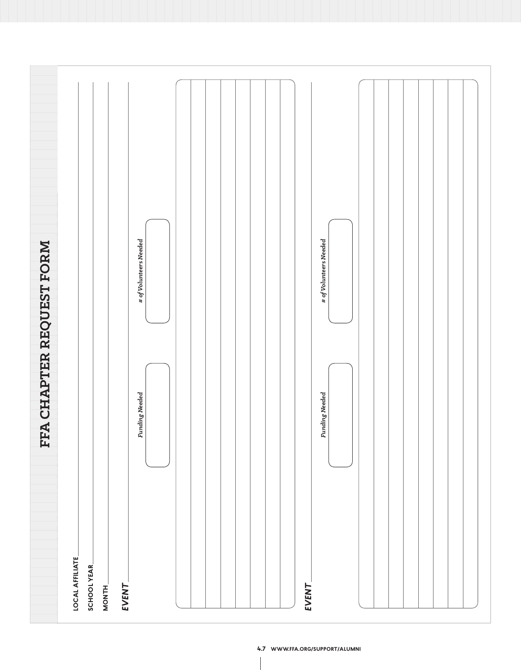|                          |                                                          | # of Volunteers Needed | # of Volunteers Needed |  |
|--------------------------|----------------------------------------------------------|------------------------|------------------------|--|
| FFA CHAPTER REQUEST FORM |                                                          | Funding Needed         | Funding Needed         |  |
|                          | <b>LOCAL AFFILIATE</b><br>SCHOOL YEAR<br>EVENT<br>MONTH_ |                        | EVENT                  |  |